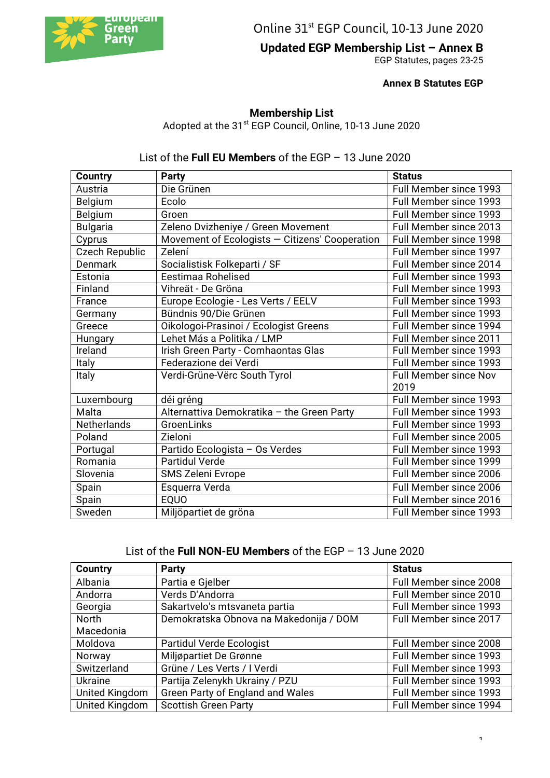

Online 31<sup>st</sup> EGP Council, 10-13 June 2020

**Updated EGP Membership List – Annex B** 

EGP Statutes, pages 23-25

 **Annex B Statutes EGP**

## **Membership List**

Adopted at the 31<sup>st</sup> EGP Council, Online, 10-13 June 2020

## List of the **Full EU Members** of the EGP – 13 June 2020

| <b>Country</b>        | <b>Party</b>                                   | <b>Status</b>                 |
|-----------------------|------------------------------------------------|-------------------------------|
| Austria               | Die Grünen                                     | Full Member since 1993        |
| Belgium               | Ecolo                                          | Full Member since 1993        |
| Belgium               | Groen                                          | Full Member since 1993        |
| <b>Bulgaria</b>       | Zeleno Dvizheniye / Green Movement             | Full Member since 2013        |
| Cyprus                | Movement of Ecologists - Citizens' Cooperation | <b>Full Member since 1998</b> |
| <b>Czech Republic</b> | Zelení                                         | Full Member since 1997        |
| Denmark               | Socialistisk Folkeparti / SF                   | Full Member since 2014        |
| Estonia               | Eestimaa Rohelised                             | Full Member since 1993        |
| Finland               | Vihreät - De Gröna                             | Full Member since 1993        |
| France                | Europe Ecologie - Les Verts / EELV             | Full Member since 1993        |
| Germany               | Bündnis 90/Die Grünen                          | Full Member since 1993        |
| Greece                | Oikologoi-Prasinoi / Ecologist Greens          | Full Member since 1994        |
| Hungary               | Lehet Más a Politika / LMP                     | <b>Full Member since 2011</b> |
| Ireland               | Irish Green Party - Comhaontas Glas            | Full Member since 1993        |
| <b>Italy</b>          | Federazione dei Verdi                          | Full Member since 1993        |
| Italy                 | Verdi-Grüne-Vërc South Tyrol                   | Full Member since Nov         |
|                       |                                                | 2019                          |
| Luxembourg            | déi gréng                                      | Full Member since 1993        |
| Malta                 | Alternattiva Demokratika - the Green Party     | Full Member since 1993        |
| <b>Netherlands</b>    | GroenLinks                                     | Full Member since 1993        |
| Poland                | Zieloni                                        | Full Member since 2005        |
| Portugal              | Partido Ecologista - Os Verdes                 | Full Member since 1993        |
| Romania               | <b>Partidul Verde</b>                          | Full Member since 1999        |
| Slovenia              | SMS Zeleni Evrope                              | Full Member since 2006        |
| Spain                 | Esquerra Verda                                 | Full Member since 2006        |
| Spain                 | EQUO                                           | Full Member since 2016        |
| Sweden                | Miljöpartiet de gröna                          | Full Member since 1993        |

| List of the Full NON-EU Members of the EGP $-$ 13 June 2020 |  |  |  |  |
|-------------------------------------------------------------|--|--|--|--|
|-------------------------------------------------------------|--|--|--|--|

| <b>Country</b> | <b>Party</b>                           | <b>Status</b>          |
|----------------|----------------------------------------|------------------------|
| Albania        | Partia e Gjelber                       | Full Member since 2008 |
| Andorra        | Verds D'Andorra                        | Full Member since 2010 |
| Georgia        | Sakartvelo's mtsvaneta partia          | Full Member since 1993 |
| <b>North</b>   | Demokratska Obnova na Makedonija / DOM | Full Member since 2017 |
| Macedonia      |                                        |                        |
| Moldova        | Partidul Verde Ecologist               | Full Member since 2008 |
| Norway         | Miljøpartiet De Grønne                 | Full Member since 1993 |
| Switzerland    | Grüne / Les Verts / I Verdi            | Full Member since 1993 |
| <b>Ukraine</b> | Partija Zelenykh Ukrainy / PZU         | Full Member since 1993 |
| United Kingdom | Green Party of England and Wales       | Full Member since 1993 |
| United Kingdom | <b>Scottish Green Party</b>            | Full Member since 1994 |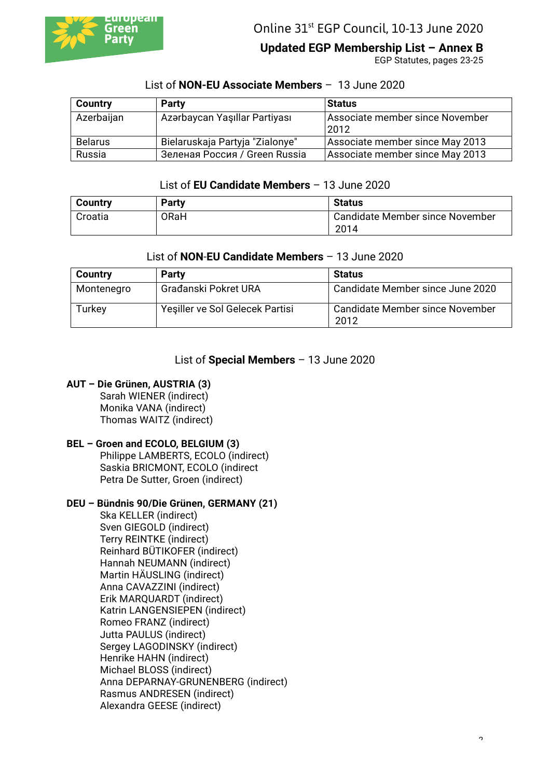

# **Updated EGP Membership List – Annex B**

EGP Statutes, pages 23-25

| <b>Country</b> | <b>Party</b>                    | <b>Status</b>                           |
|----------------|---------------------------------|-----------------------------------------|
| Azerbaijan     | Azərbaycan Yaşıllar Partiyası   | Associate member since November<br>2012 |
| <b>Belarus</b> | Bielaruskaja Partyja "Zialonye" | Associate member since May 2013         |
| Russia         | Зеленая Россия / Green Russia   | Associate member since May 2013         |

### List of **NON-EU Associate Members** – 13 June 2020

### List of **EU Candidate Members** – 13 June 2020

| <b>Country</b> | <b>Party</b> | <b>Status</b>                   |
|----------------|--------------|---------------------------------|
| Croatia        | <b>ORaH</b>  | Candidate Member since November |
|                |              | 2014                            |

#### List of **NON**-**EU Candidate Members** – 13 June 2020

| <b>Country</b> | <b>Party</b>                    | <b>Status</b>                           |
|----------------|---------------------------------|-----------------------------------------|
| Montenegro     | Građanski Pokret URA            | Candidate Member since June 2020        |
| Turkey         | Yeşiller ve Sol Gelecek Partisi | Candidate Member since November<br>2012 |

#### List of **Special Members** – 13 June 2020

#### **AUT – Die Grünen, AUSTRIA (3)**

Sarah WIENER (indirect) Monika VANA (indirect) Thomas WAITZ (indirect)

### **BEL – Groen and ECOLO, BELGIUM (3)**

Philippe LAMBERTS, ECOLO (indirect) Saskia BRICMONT, ECOLO (indirect Petra De Sutter, Groen (indirect)

#### **DEU – Bündnis 90/Die Grünen, GERMANY (21)**

Ska KELLER (indirect) Sven GIEGOLD (indirect) Terry REINTKE (indirect) Reinhard BÜTIKOFER (indirect) Hannah NEUMANN (indirect) Martin HÄUSLING (indirect) Anna CAVAZZINI (indirect) Erik MARQUARDT (indirect) Katrin LANGENSIEPEN (indirect) Romeo FRANZ (indirect) Jutta PAULUS (indirect) Sergey LAGODINSKY (indirect) Henrike HAHN (indirect) Michael BLOSS (indirect) Anna DEPARNAY-GRUNENBERG (indirect) Rasmus ANDRESEN (indirect) Alexandra GEESE (indirect)